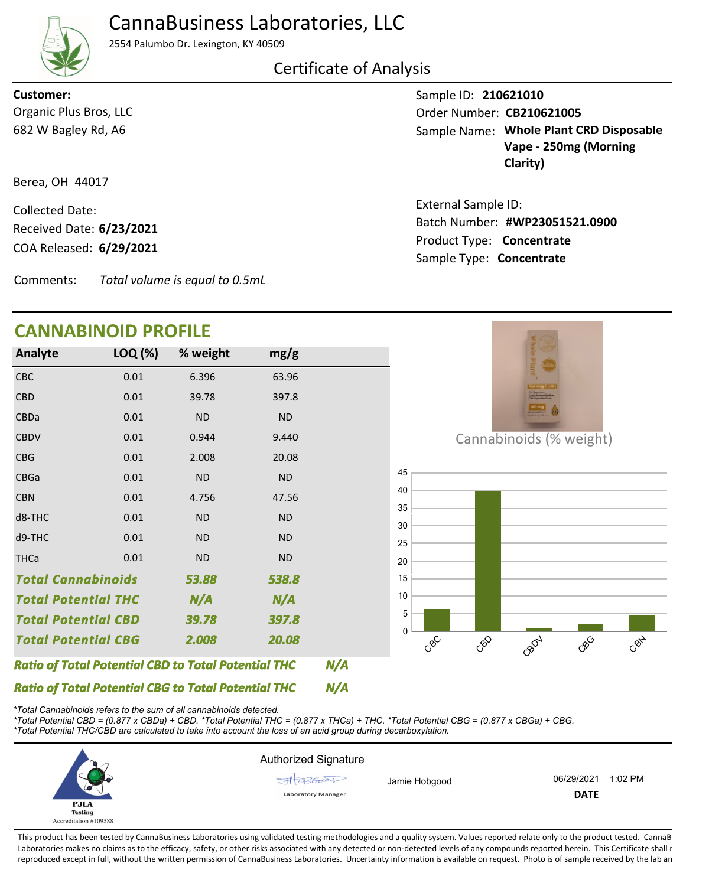

## CannaBusiness Laboratories, LLC

2554 Palumbo Dr. Lexington, KY 40509

## Certificate of Analysis

682 W Bagley Rd, A6 Organic Plus Bros, LLC **Customer:**

Berea, OH 44017

COA Released: Collected Date: Product Type: **Concentrate 6/29/2021** Received Date: **6/23/2021**

Comments: *Total volume is equal to 0.5mL*

## **CANNABINOID PROFILE**

| <b>Analyte</b>                                             | LOQ (%) | % weight  | mg/g      |  |
|------------------------------------------------------------|---------|-----------|-----------|--|
| <b>CBC</b>                                                 | 0.01    | 6.396     | 63.96     |  |
| CBD                                                        | 0.01    | 39.78     | 397.8     |  |
| <b>CBDa</b>                                                | 0.01    | <b>ND</b> | <b>ND</b> |  |
| <b>CBDV</b>                                                | 0.01    | 0.944     | 9.440     |  |
| <b>CBG</b>                                                 | 0.01    | 2.008     | 20.08     |  |
| <b>CBGa</b>                                                | 0.01    | <b>ND</b> | <b>ND</b> |  |
| <b>CBN</b>                                                 | 0.01    | 4.756     | 47.56     |  |
| d8-THC                                                     | 0.01    | <b>ND</b> | <b>ND</b> |  |
| d9-THC                                                     | 0.01    | <b>ND</b> | <b>ND</b> |  |
| <b>THCa</b>                                                | 0.01    | <b>ND</b> | <b>ND</b> |  |
| <b>Total Cannabinoids</b>                                  |         | 53.88     | 538.8     |  |
| <b>Total Potential THC</b>                                 |         | N/A       | N/A       |  |
| <b>Total Potential CBD</b>                                 |         | 39.78     | 397.8     |  |
| <b>Total Potential CBG</b>                                 |         | 2.008     | 20.08     |  |
| <b>Ratio of Total Potential CBD to Total Potential THC</b> |         |           |           |  |

**#WP23051521.0900** Batch Number: Sample Name: Whole Plant CRD Disposable **Vape - 250mg (Morning Clarity)** External Sample ID:

Sample ID: **210621010**

Order Number: CB210621005

Sample Type: **Concentrate**

Cannabinoids (% weight)



*\*Total Cannabinoids refers to the sum of all cannabinoids detected.*

*Ratio of Total Potential CBG to Total Potential THC*

*\*Total Potential CBD = (0.877 x CBDa) + CBD. \*Total Potential THC = (0.877 x THCa) + THC. \*Total Potential CBG = (0.877 x CBGa) + CBG.*

*\*Total Potential THC/CBD are calculated to take into account the loss of an acid group during decarboxylation.*

|                       | <b>Authorized Signature</b> |             |         |
|-----------------------|-----------------------------|-------------|---------|
|                       | Jamie Hobgood               | 06/29/2021  | 1:02 PM |
| u<br><b>PJLA</b>      | <b>Laboratory Manager</b>   | <b>DATE</b> |         |
| <b>Testing</b>        |                             |             |         |
| Accreditation #109588 |                             |             |         |

*N/A*

This product has been tested by CannaBusiness Laboratories using validated testing methodologies and a quality system. Values reported relate only to the product tested. CannaB Laboratories makes no claims as to the efficacy, safety, or other risks associated with any detected or non-detected levels of any compounds reported herein. This Certificate shall r reproduced except in full, without the written permission of CannaBusiness Laboratories. Uncertainty information is available on request. Photo is of sample received by the lab an